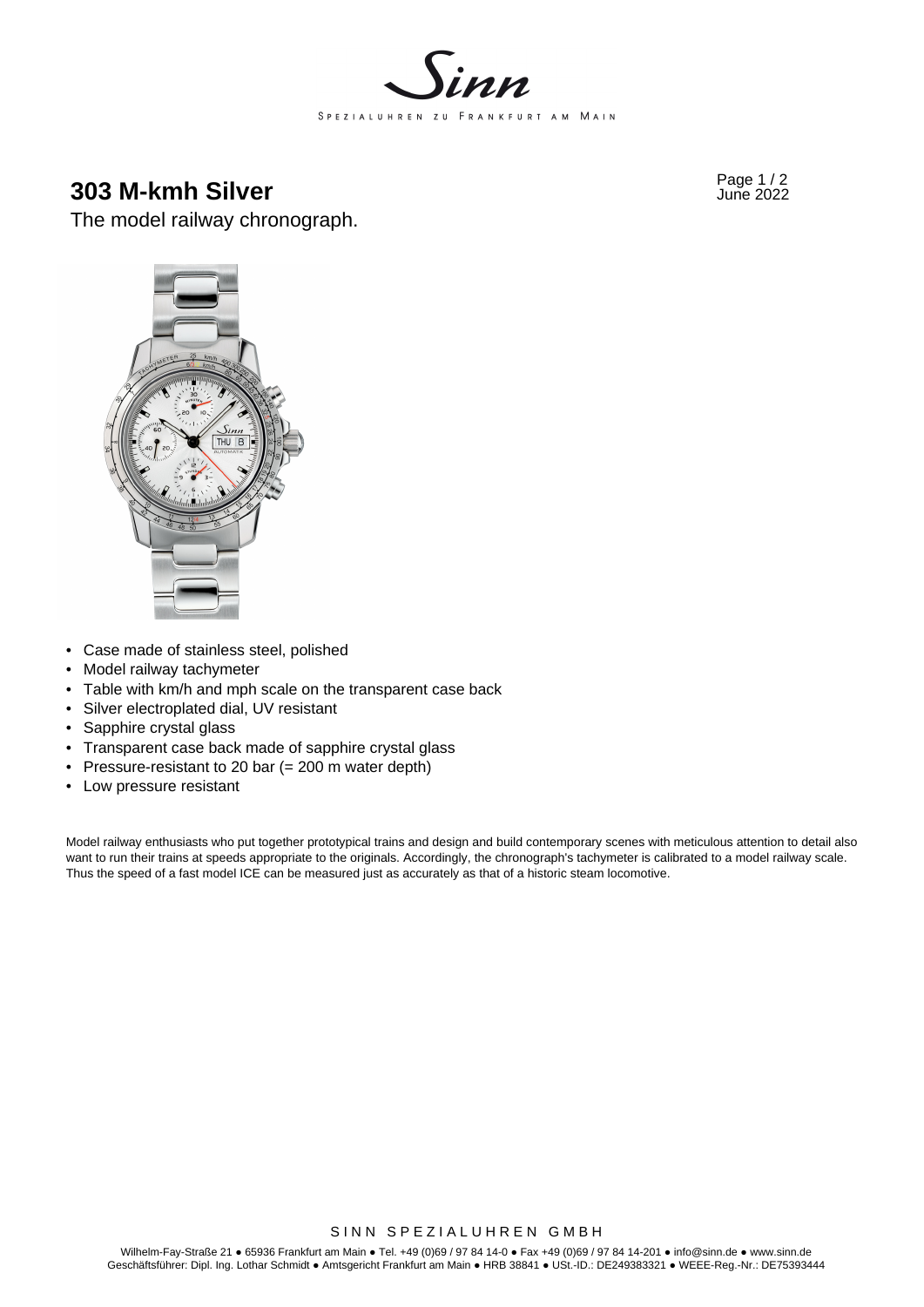

**303 M-kmh Silver CONSUMER 2022 Page 1/2 Page 1/2 Page 1/2** 

The model railway chronograph.



- Case made of stainless steel, polished
- Model railway tachymeter
- Table with km/h and mph scale on the transparent case back
- Silver electroplated dial, UV resistant
- Sapphire crystal glass
- Transparent case back made of sapphire crystal glass
- Pressure-resistant to 20 bar (= 200 m water depth)
- Low pressure resistant

Model railway enthusiasts who put together prototypical trains and design and build contemporary scenes with meticulous attention to detail also want to run their trains at speeds appropriate to the originals. Accordingly, the chronograph's tachymeter is calibrated to a model railway scale. Thus the speed of a fast model ICE can be measured just as accurately as that of a historic steam locomotive.